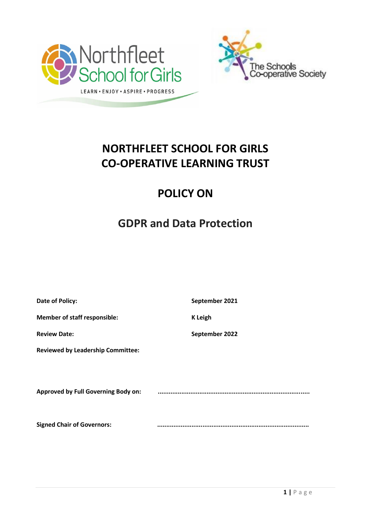



# **NORTHFLEET SCHOOL FOR GIRLS CO-OPERATIVE LEARNING TRUST**

# **POLICY ON**

# **GDPR and Data Protection**

| Date of Policy:                            | September 2021 |
|--------------------------------------------|----------------|
| <b>Member of staff responsible:</b>        | <b>K</b> Leigh |
| <b>Review Date:</b>                        | September 2022 |
| <b>Reviewed by Leadership Committee:</b>   |                |
|                                            |                |
| <b>Approved by Full Governing Body on:</b> |                |
|                                            |                |
| <b>Signed Chair of Governors:</b>          |                |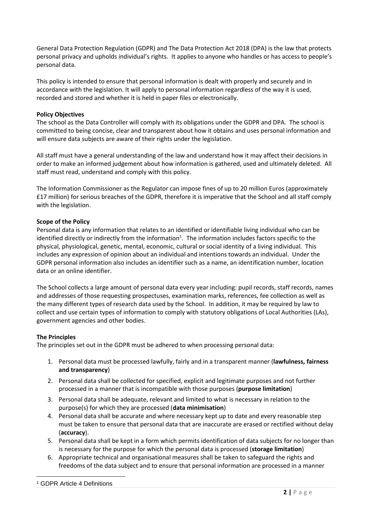General Data Protection Regulation (GDPR) and The Data Protection Act 2018 (DPA) is the law that protects personal privacy and upholds individual's rights. It applies to anyone who handles or has access to people's personal data.

This policy is intended to ensure that personal information is dealt with properly and securely and in accordance with the legislation. It will apply to personal information regardless of the way it is used, recorded and stored and whether it is held in paper files or electronically.

# **Policy Objectives**

The school as the Data Controller will comply with its obligations under the GDPR and DPA. The school is committed to being concise, clear and transparent about how it obtains and uses personal information and will ensure data subjects are aware of their rights under the legislation.

All staff must have a general understanding of the law and understand how it may affect their decisions in order to make an informed judgement about how information is gathered, used and ultimately deleted. All staff must read, understand and comply with this policy.

The Information Commissioner as the Regulator can impose fines of up to 20 million Euros (approximately £17 million) for serious breaches of the GDPR, therefore it is imperative that the School and all staff comply with the legislation.

## **Scope of the Policy**

Personal data is any information that relates to an identified or identifiable living individual who can be identified directly or indirectly from the information<sup>1</sup>. The information includes factors specific to the physical, physiological, genetic, mental, economic, cultural or social identity of a living individual. This includes any expression of opinion about an individual and intentions towards an individual. Under the GDPR personal information also includes an identifier such as a name, an identification number, location data or an online identifier.

The School collects a large amount of personal data every year including: pupil records, staff records, names and addresses of those requesting prospectuses, examination marks, references, fee collection as well as the many different types of research data used by the School. In addition, it may be required by law to collect and use certain types of information to comply with statutory obligations of Local Authorities (LAs), government agencies and other bodies.

### **The Principles**

The principles set out in the GDPR must be adhered to when processing personal data:

- 1. Personal data must be processed lawfully, fairly and in a transparent manner (**lawfulness, fairness and transparency**)
- 2. Personal data shall be collected for specified, explicit and legitimate purposes and not further processed in a manner that is incompatible with those purposes (**purpose limitation**)
- 3. Personal data shall be adequate, relevant and limited to what is necessary in relation to the purpose(s) for which they are processed (**data minimisation**)
- 4. Personal data shall be accurate and where necessary kept up to date and every reasonable step must be taken to ensure that personal data that are inaccurate are erased or rectified without delay (**accuracy**).
- 5. Personal data shall be kept in a form which permits identification of data subjects for no longer than is necessary for the purpose for which the personal data is processed (**storage limitation**)
- 6. Appropriate technical and organisational measures shall be taken to safeguard the rights and freedoms of the data subject and to ensure that personal information are processed in a manner

 $\overline{a}$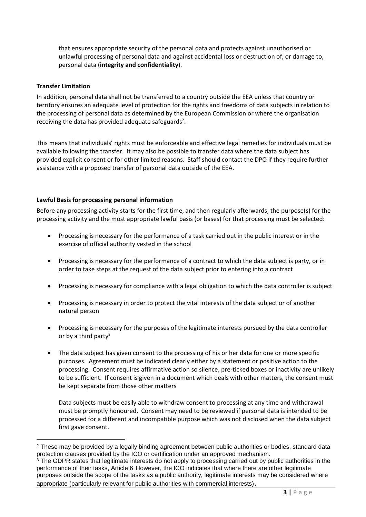that ensures appropriate security of the personal data and protects against unauthorised or unlawful processing of personal data and against accidental loss or destruction of, or damage to, personal data (**integrity and confidentiality**).

## **Transfer Limitation**

 $\overline{a}$ 

In addition, personal data shall not be transferred to a country outside the EEA unless that country or territory ensures an adequate level of protection for the rights and freedoms of data subjects in relation to the processing of personal data as determined by the European Commission or where the organisation receiving the data has provided adequate safeguards<sup>2</sup>.

This means that individuals' rights must be enforceable and effective legal remedies for individuals must be available following the transfer. It may also be possible to transfer data where the data subject has provided explicit consent or for other limited reasons. Staff should contact the DPO if they require further assistance with a proposed transfer of personal data outside of the EEA.

## **Lawful Basis for processing personal information**

Before any processing activity starts for the first time, and then regularly afterwards, the purpose(s) for the processing activity and the most appropriate lawful basis (or bases) for that processing must be selected:

- Processing is necessary for the performance of a task carried out in the public interest or in the exercise of official authority vested in the school
- Processing is necessary for the performance of a contract to which the data subject is party, or in order to take steps at the request of the data subject prior to entering into a contract
- Processing is necessary for compliance with a legal obligation to which the data controller is subject
- Processing is necessary in order to protect the vital interests of the data subject or of another natural person
- Processing is necessary for the purposes of the legitimate interests pursued by the data controller or by a third party $3$
- The data subject has given consent to the processing of his or her data for one or more specific purposes. Agreement must be indicated clearly either by a statement or positive action to the processing. Consent requires affirmative action so silence, pre-ticked boxes or inactivity are unlikely to be sufficient. If consent is given in a document which deals with other matters, the consent must be kept separate from those other matters

Data subjects must be easily able to withdraw consent to processing at any time and withdrawal must be promptly honoured. Consent may need to be reviewed if personal data is intended to be processed for a different and incompatible purpose which was not disclosed when the data subject first gave consent.

<sup>&</sup>lt;sup>2</sup> These may be provided by a legally binding agreement between public authorities or bodies, standard data protection clauses provided by the ICO or certification under an approved mechanism.

<sup>&</sup>lt;sup>3</sup> The GDPR states that legitimate interests do not apply to processing carried out by public authorities in the performance of their tasks, Article 6 However, the ICO indicates that where there are other legitimate purposes outside the scope of the tasks as a public authority, legitimate interests may be considered where appropriate (particularly relevant for public authorities with commercial interests).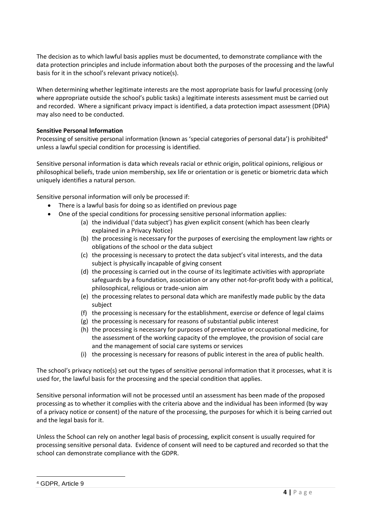The decision as to which lawful basis applies must be documented, to demonstrate compliance with the data protection principles and include information about both the purposes of the processing and the lawful basis for it in the school's relevant privacy notice(s).

When determining whether legitimate interests are the most appropriate basis for lawful processing (only where appropriate outside the school's public tasks) a legitimate interests assessment must be carried out and recorded. Where a significant privacy impact is identified, a data protection impact assessment (DPIA) may also need to be conducted.

# **Sensitive Personal Information**

Processing of sensitive personal information (known as 'special categories of personal data') is prohibited<sup>4</sup> unless a lawful special condition for processing is identified.

Sensitive personal information is data which reveals racial or ethnic origin, political opinions, religious or philosophical beliefs, trade union membership, sex life or orientation or is genetic or biometric data which uniquely identifies a natural person.

Sensitive personal information will only be processed if:

- There is a lawful basis for doing so as identified on previous page
- One of the special conditions for processing sensitive personal information applies:
	- (a) the individual ('data subject') has given explicit consent (which has been clearly explained in a Privacy Notice)
	- (b) the processing is necessary for the purposes of exercising the employment law rights or obligations of the school or the data subject
	- (c) the processing is necessary to protect the data subject's vital interests, and the data subject is physically incapable of giving consent
	- (d) the processing is carried out in the course of its legitimate activities with appropriate safeguards by a foundation, association or any other not-for-profit body with a political, philosophical, religious or trade-union aim
	- (e) the processing relates to personal data which are manifestly made public by the data subject
	- (f) the processing is necessary for the establishment, exercise or defence of legal claims
	- (g) the processing is necessary for reasons of substantial public interest
	- (h) the processing is necessary for purposes of preventative or occupational medicine, for the assessment of the working capacity of the employee, the provision of social care and the management of social care systems or services
	- (i) the processing is necessary for reasons of public interest in the area of public health.

The school's privacy notice(s) set out the types of sensitive personal information that it processes, what it is used for, the lawful basis for the processing and the special condition that applies.

Sensitive personal information will not be processed until an assessment has been made of the proposed processing as to whether it complies with the criteria above and the individual has been informed (by way of a privacy notice or consent) of the nature of the processing, the purposes for which it is being carried out and the legal basis for it.

Unless the School can rely on another legal basis of processing, explicit consent is usually required for processing sensitive personal data. Evidence of consent will need to be captured and recorded so that the school can demonstrate compliance with the GDPR.

 $\overline{a}$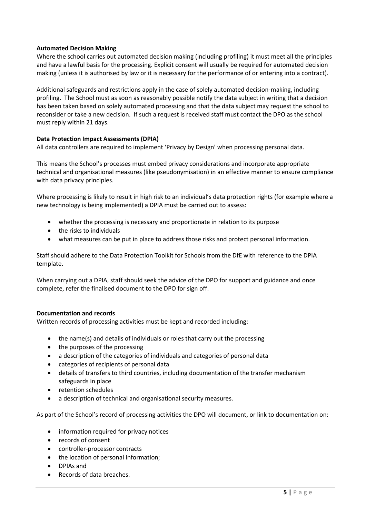## **Automated Decision Making**

Where the school carries out automated decision making (including profiling) it must meet all the principles and have a lawful basis for the processing. Explicit consent will usually be required for automated decision making (unless it is authorised by law or it is necessary for the performance of or entering into a contract).

Additional safeguards and restrictions apply in the case of solely automated decision-making, including profiling. The School must as soon as reasonably possible notify the data subject in writing that a decision has been taken based on solely automated processing and that the data subject may request the school to reconsider or take a new decision. If such a request is received staff must contact the DPO as the school must reply within 21 days.

## **Data Protection Impact Assessments (DPIA)**

All data controllers are required to implement 'Privacy by Design' when processing personal data.

This means the School's processes must embed privacy considerations and incorporate appropriate technical and organisational measures (like pseudonymisation) in an effective manner to ensure compliance with data privacy principles.

Where processing is likely to result in high risk to an individual's data protection rights (for example where a new technology is being implemented) a DPIA must be carried out to assess:

- whether the processing is necessary and proportionate in relation to its purpose
- the risks to individuals
- what measures can be put in place to address those risks and protect personal information.

Staff should adhere to the Data Protection Toolkit for Schools from the DfE with reference to the DPIA template.

When carrying out a DPIA, staff should seek the advice of the DPO for support and guidance and once complete, refer the finalised document to the DPO for sign off.

### **Documentation and records**

Written records of processing activities must be kept and recorded including:

- the name(s) and details of individuals or roles that carry out the processing
- the purposes of the processing
- a description of the categories of individuals and categories of personal data
- categories of recipients of personal data
- details of transfers to third countries, including documentation of the transfer mechanism safeguards in place
- retention schedules
- a description of technical and organisational security measures.

As part of the School's record of processing activities the DPO will document, or link to documentation on:

- information required for privacy notices
- records of consent
- controller-processor contracts
- the location of personal information;
- DPIAs and
- Records of data breaches.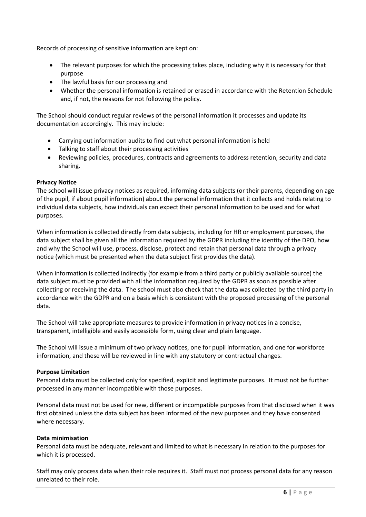Records of processing of sensitive information are kept on:

- The relevant purposes for which the processing takes place, including why it is necessary for that purpose
- The lawful basis for our processing and
- Whether the personal information is retained or erased in accordance with the Retention Schedule and, if not, the reasons for not following the policy.

The School should conduct regular reviews of the personal information it processes and update its documentation accordingly. This may include:

- Carrying out information audits to find out what personal information is held
- Talking to staff about their processing activities
- Reviewing policies, procedures, contracts and agreements to address retention, security and data sharing.

## **Privacy Notice**

The school will issue privacy notices as required, informing data subjects (or their parents, depending on age of the pupil, if about pupil information) about the personal information that it collects and holds relating to individual data subjects, how individuals can expect their personal information to be used and for what purposes.

When information is collected directly from data subjects, including for HR or employment purposes, the data subject shall be given all the information required by the GDPR including the identity of the DPO, how and why the School will use, process, disclose, protect and retain that personal data through a privacy notice (which must be presented when the data subject first provides the data).

When information is collected indirectly (for example from a third party or publicly available source) the data subject must be provided with all the information required by the GDPR as soon as possible after collecting or receiving the data. The school must also check that the data was collected by the third party in accordance with the GDPR and on a basis which is consistent with the proposed processing of the personal data.

The School will take appropriate measures to provide information in privacy notices in a concise, transparent, intelligible and easily accessible form, using clear and plain language.

The School will issue a minimum of two privacy notices, one for pupil information, and one for workforce information, and these will be reviewed in line with any statutory or contractual changes.

# **Purpose Limitation**

Personal data must be collected only for specified, explicit and legitimate purposes. It must not be further processed in any manner incompatible with those purposes.

Personal data must not be used for new, different or incompatible purposes from that disclosed when it was first obtained unless the data subject has been informed of the new purposes and they have consented where necessary.

### **Data minimisation**

Personal data must be adequate, relevant and limited to what is necessary in relation to the purposes for which it is processed.

Staff may only process data when their role requires it. Staff must not process personal data for any reason unrelated to their role.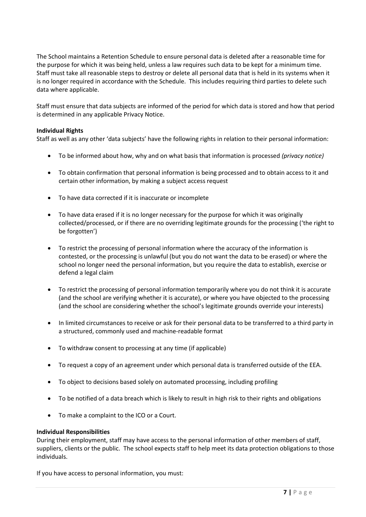The School maintains a Retention Schedule to ensure personal data is deleted after a reasonable time for the purpose for which it was being held, unless a law requires such data to be kept for a minimum time. Staff must take all reasonable steps to destroy or delete all personal data that is held in its systems when it is no longer required in accordance with the Schedule. This includes requiring third parties to delete such data where applicable.

Staff must ensure that data subjects are informed of the period for which data is stored and how that period is determined in any applicable Privacy Notice.

## **Individual Rights**

Staff as well as any other 'data subjects' have the following rights in relation to their personal information:

- To be informed about how, why and on what basis that information is processed *(privacy notice)*
- To obtain confirmation that personal information is being processed and to obtain access to it and certain other information, by making a subject access request
- To have data corrected if it is inaccurate or incomplete
- To have data erased if it is no longer necessary for the purpose for which it was originally collected/processed, or if there are no overriding legitimate grounds for the processing ('the right to be forgotten')
- To restrict the processing of personal information where the accuracy of the information is contested, or the processing is unlawful (but you do not want the data to be erased) or where the school no longer need the personal information, but you require the data to establish, exercise or defend a legal claim
- To restrict the processing of personal information temporarily where you do not think it is accurate (and the school are verifying whether it is accurate), or where you have objected to the processing (and the school are considering whether the school's legitimate grounds override your interests)
- In limited circumstances to receive or ask for their personal data to be transferred to a third party in a structured, commonly used and machine-readable format
- To withdraw consent to processing at any time (if applicable)
- To request a copy of an agreement under which personal data is transferred outside of the EEA.
- To object to decisions based solely on automated processing, including profiling
- To be notified of a data breach which is likely to result in high risk to their rights and obligations
- To make a complaint to the ICO or a Court.

### **Individual Responsibilities**

During their employment, staff may have access to the personal information of other members of staff, suppliers, clients or the public. The school expects staff to help meet its data protection obligations to those individuals.

If you have access to personal information, you must: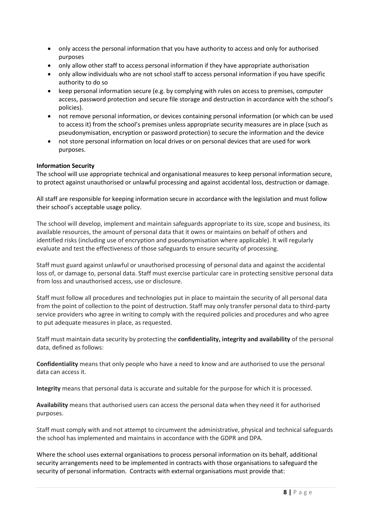- only access the personal information that you have authority to access and only for authorised purposes
- only allow other staff to access personal information if they have appropriate authorisation
- only allow individuals who are not school staff to access personal information if you have specific authority to do so
- keep personal information secure (e.g. by complying with rules on access to premises, computer access, password protection and secure file storage and destruction in accordance with the school's policies).
- not remove personal information, or devices containing personal information (or which can be used to access it) from the school's premises unless appropriate security measures are in place (such as pseudonymisation, encryption or password protection) to secure the information and the device
- not store personal information on local drives or on personal devices that are used for work purposes.

### **Information Security**

The school will use appropriate technical and organisational measures to keep personal information secure, to protect against unauthorised or unlawful processing and against accidental loss, destruction or damage.

All staff are responsible for keeping information secure in accordance with the legislation and must follow their school's acceptable usage policy.

The school will develop, implement and maintain safeguards appropriate to its size, scope and business, its available resources, the amount of personal data that it owns or maintains on behalf of others and identified risks (including use of encryption and pseudonymisation where applicable). It will regularly evaluate and test the effectiveness of those safeguards to ensure security of processing.

Staff must guard against unlawful or unauthorised processing of personal data and against the accidental loss of, or damage to, personal data. Staff must exercise particular care in protecting sensitive personal data from loss and unauthorised access, use or disclosure.

Staff must follow all procedures and technologies put in place to maintain the security of all personal data from the point of collection to the point of destruction. Staff may only transfer personal data to third-party service providers who agree in writing to comply with the required policies and procedures and who agree to put adequate measures in place, as requested.

Staff must maintain data security by protecting the **confidentiality, integrity and availability** of the personal data, defined as follows:

**Confidentiality** means that only people who have a need to know and are authorised to use the personal data can access it.

**Integrity** means that personal data is accurate and suitable for the purpose for which it is processed.

**Availability** means that authorised users can access the personal data when they need it for authorised purposes.

Staff must comply with and not attempt to circumvent the administrative, physical and technical safeguards the school has implemented and maintains in accordance with the GDPR and DPA.

Where the school uses external organisations to process personal information on its behalf, additional security arrangements need to be implemented in contracts with those organisations to safeguard the security of personal information. Contracts with external organisations must provide that: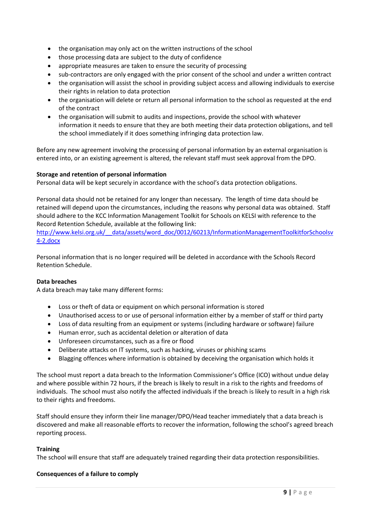- the organisation may only act on the written instructions of the school
- those processing data are subject to the duty of confidence
- appropriate measures are taken to ensure the security of processing
- sub-contractors are only engaged with the prior consent of the school and under a written contract
- the organisation will assist the school in providing subject access and allowing individuals to exercise their rights in relation to data protection
- the organisation will delete or return all personal information to the school as requested at the end of the contract
- the organisation will submit to audits and inspections, provide the school with whatever information it needs to ensure that they are both meeting their data protection obligations, and tell the school immediately if it does something infringing data protection law.

Before any new agreement involving the processing of personal information by an external organisation is entered into, or an existing agreement is altered, the relevant staff must seek approval from the DPO.

# **Storage and retention of personal information**

Personal data will be kept securely in accordance with the school's data protection obligations.

Personal data should not be retained for any longer than necessary. The length of time data should be retained will depend upon the circumstances, including the reasons why personal data was obtained. Staff should adhere to the KCC Information Management Toolkit for Schools on KELSI with reference to the Record Retention Schedule, available at the following link:

[http://www.kelsi.org.uk/\\_\\_data/assets/word\\_doc/0012/60213/InformationManagementToolkitforSchoolsv](http://www.kelsi.org.uk/__data/assets/word_doc/0012/60213/InformationManagementToolkitforSchoolsv4-2.docx) [4-2.docx](http://www.kelsi.org.uk/__data/assets/word_doc/0012/60213/InformationManagementToolkitforSchoolsv4-2.docx)

Personal information that is no longer required will be deleted in accordance with the Schools Record Retention Schedule.

### **Data breaches**

A data breach may take many different forms:

- Loss or theft of data or equipment on which personal information is stored
- Unauthorised access to or use of personal information either by a member of staff or third party
- Loss of data resulting from an equipment or systems (including hardware or software) failure
- Human error, such as accidental deletion or alteration of data
- Unforeseen circumstances, such as a fire or flood
- Deliberate attacks on IT systems, such as hacking, viruses or phishing scams
- Blagging offences where information is obtained by deceiving the organisation which holds it

The school must report a data breach to the Information Commissioner's Office (ICO) without undue delay and where possible within 72 hours, if the breach is likely to result in a risk to the rights and freedoms of individuals. The school must also notify the affected individuals if the breach is likely to result in a high risk to their rights and freedoms.

Staff should ensure they inform their line manager/DPO/Head teacher immediately that a data breach is discovered and make all reasonable efforts to recover the information, following the school's agreed breach reporting process.

### **Training**

The school will ensure that staff are adequately trained regarding their data protection responsibilities.

### **Consequences of a failure to comply**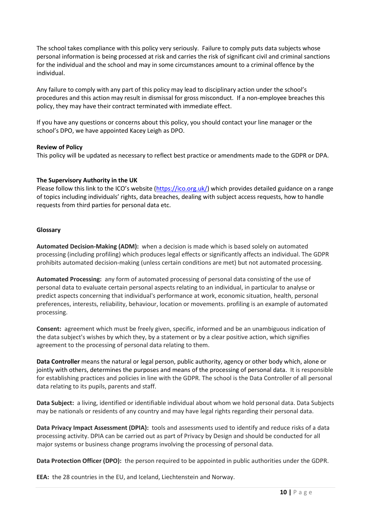The school takes compliance with this policy very seriously. Failure to comply puts data subjects whose personal information is being processed at risk and carries the risk of significant civil and criminal sanctions for the individual and the school and may in some circumstances amount to a criminal offence by the individual.

Any failure to comply with any part of this policy may lead to disciplinary action under the school's procedures and this action may result in dismissal for gross misconduct. If a non-employee breaches this policy, they may have their contract terminated with immediate effect.

If you have any questions or concerns about this policy, you should contact your line manager or the school's DPO, we have appointed Kacey Leigh as DPO.

## **Review of Policy**

This policy will be updated as necessary to reflect best practice or amendments made to the GDPR or DPA.

# **The Supervisory Authority in the UK**

Please follow this link to the ICO's website ([https://ico.org.uk/\)](https://ico.org.uk/) which provides detailed guidance on a range of topics including individuals' rights, data breaches, dealing with subject access requests, how to handle requests from third parties for personal data etc.

## **Glossary**

**Automated Decision-Making (ADM):** when a decision is made which is based solely on automated processing (including profiling) which produces legal effects or significantly affects an individual. The GDPR prohibits automated decision-making (unless certain conditions are met) but not automated processing.

**Automated Processing:** any form of automated processing of personal data consisting of the use of personal data to evaluate certain personal aspects relating to an individual, in particular to analyse or predict aspects concerning that individual's performance at work, economic situation, health, personal preferences, interests, reliability, behaviour, location or movements. profiling is an example of automated processing.

**Consent:** agreement which must be freely given, specific, informed and be an unambiguous indication of the data subject's wishes by which they, by a statement or by a clear positive action, which signifies agreement to the processing of personal data relating to them.

**Data Controller** means the natural or legal person, public authority, agency or other body which, alone or jointly with others, determines the purposes and means of the processing of personal data. It is responsible for establishing practices and policies in line with the GDPR. The school is the Data Controller of all personal data relating to its pupils, parents and staff.

**Data Subject:** a living, identified or identifiable individual about whom we hold personal data. Data Subjects may be nationals or residents of any country and may have legal rights regarding their personal data.

**Data Privacy Impact Assessment (DPIA):** tools and assessments used to identify and reduce risks of a data processing activity. DPIA can be carried out as part of Privacy by Design and should be conducted for all major systems or business change programs involving the processing of personal data.

**Data Protection Officer (DPO):** the person required to be appointed in public authorities under the GDPR.

**EEA:** the 28 countries in the EU, and Iceland, Liechtenstein and Norway.